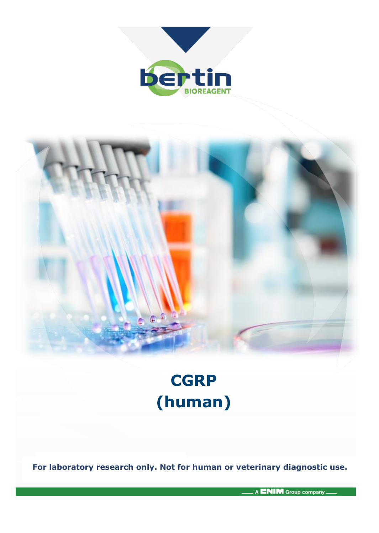



# **CGRP (human)**

**For laboratory research only. Not for human or veterinary diagnostic use.**

A ENIM Group company.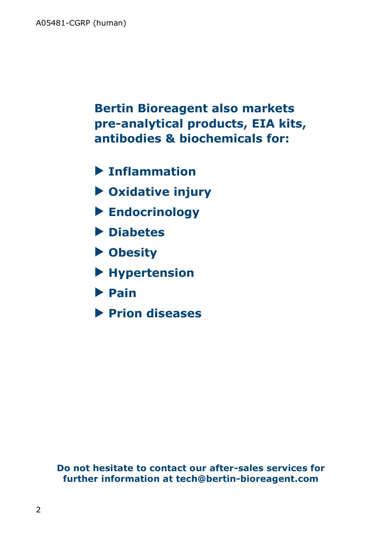**Bertin Bioreagent also markets pre-analytical products, EIA kits, antibodies & biochemicals for:**

- **Inflammation**
- **Oxidative injury**
- **Endocrinology**
- **Diabetes**
- **Obesity**
- **Hypertension**
- **Pain**
- **Prion diseases**

**Do not hesitate to contact our after-sales services for further information at tech@bertin-bioreagent.com**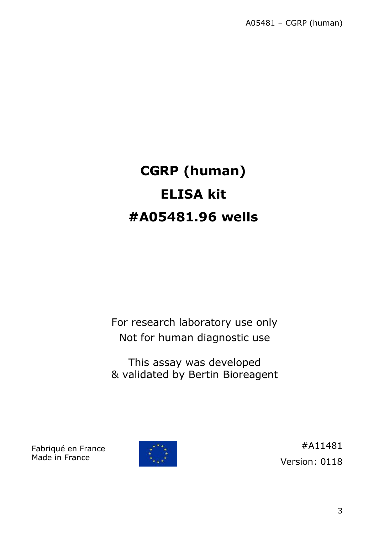# **CGRP (human) ELISA kit #A05481.96 wells**

For research laboratory use only Not for human diagnostic use

This assay was developed & validated by Bertin Bioreagent

Fabriqué en France Made in France



#A11481 Version: 0118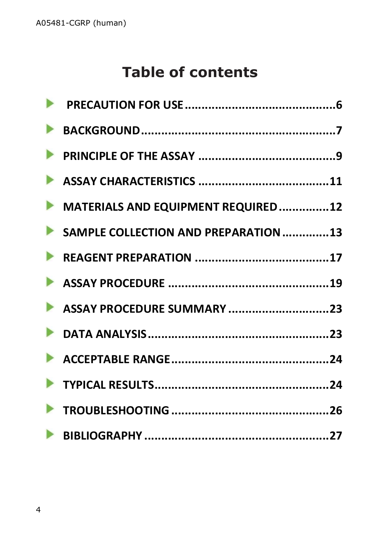## **Table of contents**

| MATERIALS AND EQUIPMENT REQUIRED12   |
|--------------------------------------|
| SAMPLE COLLECTION AND PREPARATION 13 |
|                                      |
|                                      |
|                                      |
|                                      |
|                                      |
|                                      |
|                                      |
|                                      |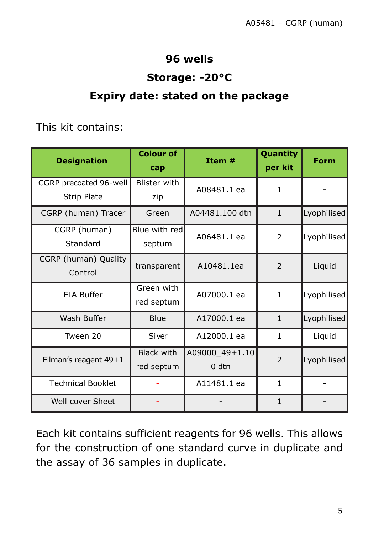### **96 wells**

### **Storage: -20°C**

### **Expiry date: stated on the package**

This kit contains:

| <b>Designation</b>       | <b>Colour of</b><br>cap | Item #           | Quantity<br>per kit | Form        |
|--------------------------|-------------------------|------------------|---------------------|-------------|
| CGRP precoated 96-well   | Blister with            | A08481.1 ea      | $\mathbf{1}$        |             |
| <b>Strip Plate</b>       | zip                     |                  |                     |             |
| CGRP (human) Tracer      | Green                   | A04481.100 dtn   | $\mathbf{1}$        | Lyophilised |
| CGRP (human)             | Blue with red           | A06481.1 ea      | $\overline{2}$      | Lyophilised |
| Standard                 | septum                  |                  |                     |             |
| CGRP (human) Quality     | transparent             | A10481.1ea       | $\overline{2}$      | Liquid      |
| Control                  |                         |                  |                     |             |
| <b>EIA Buffer</b>        | Green with              | A07000.1 ea      | $\mathbf{1}$        | Lyophilised |
|                          | red septum              |                  |                     |             |
| Wash Buffer              | Blue                    | A17000.1 ea      | $\mathbf{1}$        | Lyophilised |
| Tween 20                 | Silver                  | A12000.1 ea      | $\mathbf{1}$        | Liquid      |
| Ellman's reagent 49+1    | <b>Black with</b>       | A09000_49+1.10   | $\overline{2}$      | Lyophilised |
|                          | red septum              | 0 <sub>dtn</sub> |                     |             |
| <b>Technical Booklet</b> |                         | A11481.1 ea      | $\mathbf{1}$        |             |
| Well cover Sheet         |                         |                  | $\mathbf{1}$        |             |

Each kit contains sufficient reagents for 96 wells. This allows for the construction of one standard curve in duplicate and the assay of 36 samples in duplicate.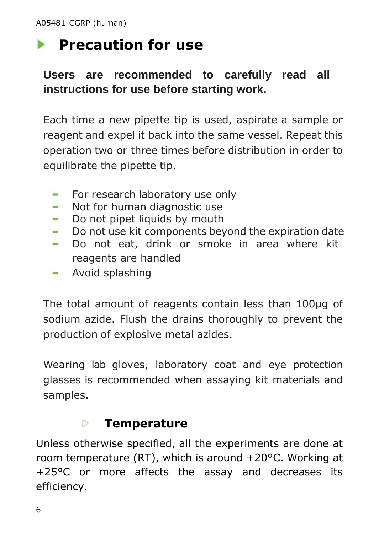# <span id="page-5-0"></span>**Precaution for use**

### **Users are recommended to carefully read all instructions for use before starting work.**

Each time a new pipette tip is used, aspirate a sample or reagent and expel it back into the same vessel. Repeat this operation two or three times before distribution in order to equilibrate the pipette tip.

- For research laboratory use only
- Not for human diagnostic use  $\sim$
- Do not pipet liquids by mouth  $\sim$
- Do not use kit components beyond the expiration date  $\sim$
- Do not eat, drink or smoke in area where kit  $\sim$ reagents are handled
- Avoid splashing

The total amount of reagents contain less than 100μg of sodium azide. Flush the drains thoroughly to prevent the production of explosive metal azides.

Wearing lab gloves, laboratory coat and eye protection glasses is recommended when assaying kit materials and samples.

#### **Temperature**  $\triangleright$

Unless otherwise specified, all the experiments are done at room temperature (RT), which is around +20°C. Working at +25°C or more affects the assay and decreases its efficiency.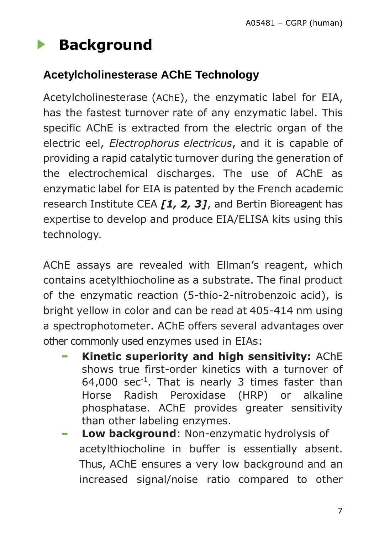#### <span id="page-6-0"></span> $\blacktriangleright$ **Background**

### **Acetylcholinesterase AChE Technology**

Acetylcholinesterase (AChE), the enzymatic label for EIA, has the fastest turnover rate of any enzymatic label. This specific AChE is extracted from the electric organ of the electric eel, *Electrophorus electricus*, and it is capable of providing a rapid catalytic turnover during the generation of the electrochemical discharges. The use of AChE as enzymatic label for EIA is patented by the French academic research Institute CEA *[1, 2, 3]*, and Bertin Bioreagent has expertise to develop and produce EIA/ELISA kits using this technology.

AChE assays are revealed with Ellman's reagent, which contains acetylthiocholine as a substrate. The final product of the enzymatic reaction (5-thio-2-nitrobenzoic acid), is bright yellow in color and can be read at 405-414 nm using a spectrophotometer. AChE offers several advantages over other commonly used enzymes used in EIAs:

- **Kinetic superiority and high sensitivity:** AChE shows true first-order kinetics with a turnover of  $64,000$  sec<sup>-1</sup>. That is nearly 3 times faster than Horse Radish Peroxidase (HRP) or alkaline phosphatase. AChE provides greater sensitivity than other labeling enzymes.
- **Low background**: Non-enzymatic hydrolysis of acetylthiocholine in buffer is essentially absent. Thus, AChE ensures a very low background and an increased signal/noise ratio compared to other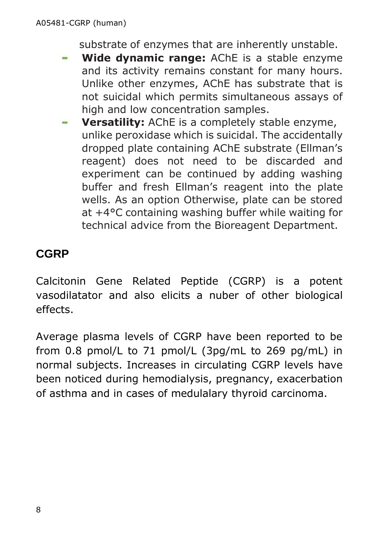substrate of enzymes that are inherently unstable.

- **Wide dynamic range:** AChE is a stable enzyme and its activity remains constant for many hours. Unlike other enzymes, AChE has substrate that is not suicidal which permits simultaneous assays of high and low concentration samples.
- **Versatility:** AChE is a completely stable enzyme, unlike peroxidase which is suicidal. The accidentally dropped plate containing AChE substrate (Ellman's reagent) does not need to be discarded and experiment can be continued by adding washing buffer and fresh Ellman's reagent into the plate wells. As an option Otherwise, plate can be stored at +4°C containing washing buffer while waiting for technical advice from the Bioreagent Department.

### **CGRP**

Calcitonin Gene Related Peptide (CGRP) is a potent vasodilatator and also elicits a nuber of other biological effects.

Average plasma levels of CGRP have been reported to be from 0.8 pmol/L to 71 pmol/L (3pg/mL to 269 pg/mL) in normal subjects. Increases in circulating CGRP levels have been noticed during hemodialysis, pregnancy, exacerbation of asthma and in cases of medulalary thyroid carcinoma.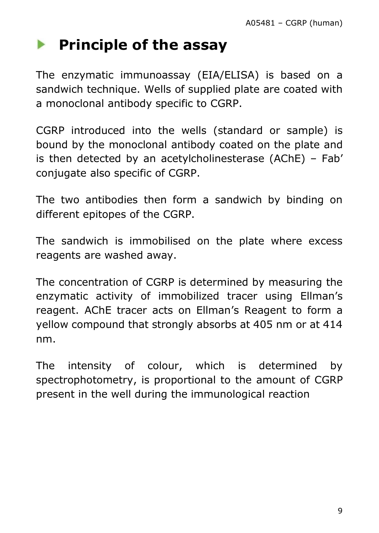#### <span id="page-8-0"></span>**Principle of the assay**  $\blacktriangleright$

The enzymatic immunoassay (EIA/ELISA) is based on a sandwich technique. Wells of supplied plate are coated with a monoclonal antibody specific to CGRP.

CGRP introduced into the wells (standard or sample) is bound by the monoclonal antibody coated on the plate and is then detected by an acetylcholinesterase (AChE) – Fab' conjugate also specific of CGRP.

The two antibodies then form a sandwich by binding on different epitopes of the CGRP.

The sandwich is immobilised on the plate where excess reagents are washed away.

The concentration of CGRP is determined by measuring the enzymatic activity of immobilized tracer using Ellman's reagent. AChE tracer acts on Ellman's Reagent to form a yellow compound that strongly absorbs at 405 nm or at 414 nm.

The intensity of colour, which is determined by spectrophotometry, is proportional to the amount of CGRP present in the well during the immunological reaction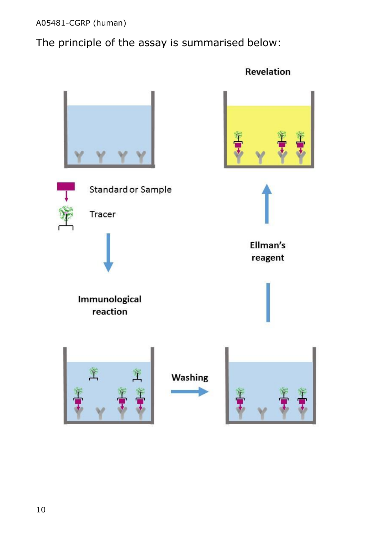A05481-CGRP (human)

The principle of the assay is summarised below:



Revelation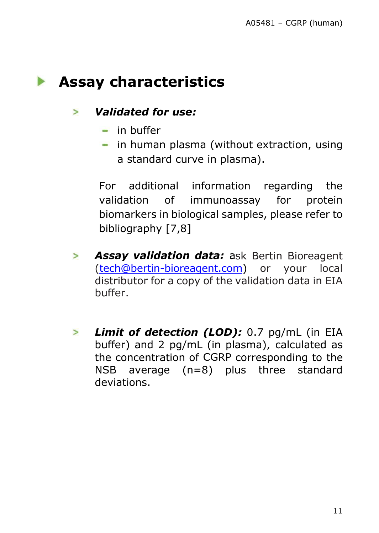### <span id="page-10-0"></span>**Assay characteristics**

#### *Validated for use:*   $\geq$

- $\blacksquare$  in buffer
- in human plasma (without extraction, using a standard curve in plasma).

For additional information regarding the validation of immunoassay for protein biomarkers in biological samples, please refer to bibliography [7,8]

- *Assay validation data:* ask Bertin Bioreagent  $\geq$ [\(tech@bertin-bioreagent.com\)](mailto:tech@bertin-bioreagent.com) or your local distributor for a copy of the validation data in EIA buffer.
- *Limit of detection (LOD):* 0.7 pg/mL (in EIA  $\geq$ buffer) and 2 pg/mL (in plasma), calculated as the concentration of CGRP corresponding to the NSB average (n=8) plus three standard deviations.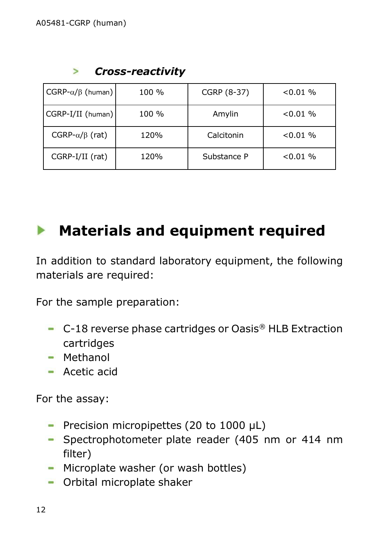|  | <b>Cross-reactivity</b> |
|--|-------------------------|
|--|-------------------------|

| $CGRP-\alpha/\beta$ (human) | 100 % | CGRP (8-37) | $< 0.01 \%$ |
|-----------------------------|-------|-------------|-------------|
| CGRP-I/II (human)           | 100 % | Amylin      | $< 0.01 \%$ |
| CGRP- $\alpha/\beta$ (rat)  | 120%  | Calcitonin  | $< 0.01 \%$ |
| CGRP-I/II (rat)             | 120%  | Substance P | $< 0.01 \%$ |

## <span id="page-11-0"></span>**Materials and equipment required**

In addition to standard laboratory equipment, the following materials are required:

For the sample preparation:

- C-18 reverse phase cartridges or Oasis<sup>®</sup> HLB Extraction cartridges
- **Methanol**
- Acetic acid

For the assay:

- Precision micropipettes (20 to 1000 μL)
- Spectrophotometer plate reader (405 nm or 414 nm filter)
- Microplate washer (or wash bottles)
- Orbital microplate shaker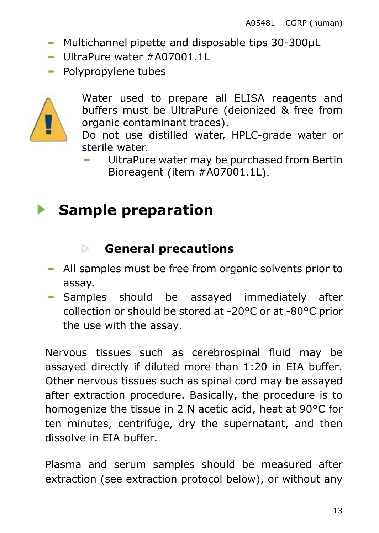- Multichannel pipette and disposable tips 30-300µL
- UltraPure water #A07001.1L
- Polypropylene tubes



Water used to prepare all ELISA reagents and buffers must be UltraPure (deionized & free from organic contaminant traces).

Do not use distilled water, HPLC-grade water or sterile water.

UltraPure water may be purchased from Bertin Bioreagent (item #A07001.1L).

## <span id="page-12-0"></span>**Sample preparation**

#### **General precautions**  $\triangleright$

- All samples must be free from organic solvents prior to assay.
- Samples should be assayed immediately after collection or should be stored at -20°C or at -80°C prior the use with the assay.

Nervous tissues such as cerebrospinal fluid may be assayed directly if diluted more than 1:20 in EIA buffer. Other nervous tissues such as spinal cord may be assayed after extraction procedure. Basically, the procedure is to homogenize the tissue in 2 N acetic acid, heat at 90°C for ten minutes, centrifuge, dry the supernatant, and then dissolve in EIA buffer.

Plasma and serum samples should be measured after extraction (see extraction protocol below), or without any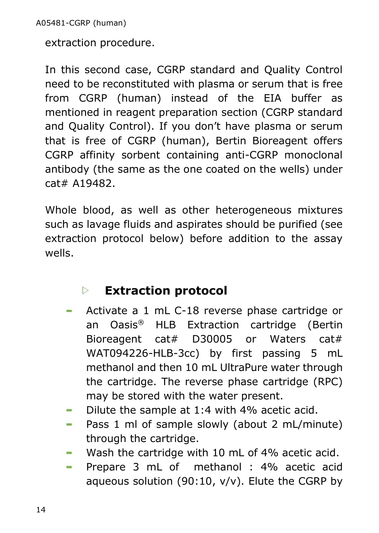extraction procedure.

In this second case, CGRP standard and Quality Control need to be reconstituted with plasma or serum that is free from CGRP (human) instead of the EIA buffer as mentioned in reagent preparation section (CGRP standard and Quality Control). If you don't have plasma or serum that is free of CGRP (human), Bertin Bioreagent offers CGRP affinity sorbent containing anti-CGRP monoclonal antibody (the same as the one coated on the wells) under cat# A19482.

Whole blood, as well as other heterogeneous mixtures such as lavage fluids and aspirates should be purified (see extraction protocol below) before addition to the assay wells.

#### **Extraction protocol**  $\triangleright$

- Activate a 1 mL C-18 reverse phase cartridge or o. an Oasis® HLB Extraction cartridge (Bertin Bioreagent cat# D30005 or Waters cat# WAT094226-HLB-3cc) by first passing 5 mL methanol and then 10 mL UltraPure water through the cartridge. The reverse phase cartridge (RPC) may be stored with the water present.
- Dilute the sample at 1:4 with 4% acetic acid. ÷
- Pass 1 ml of sample slowly (about 2 mL/minute) ÷ through the cartridge.
- Wash the cartridge with 10 mL of 4% acetic acid.  $\sim$
- Prepare 3 mL of methanol : 4% acetic acid **COL** aqueous solution (90:10, v/v). Elute the CGRP by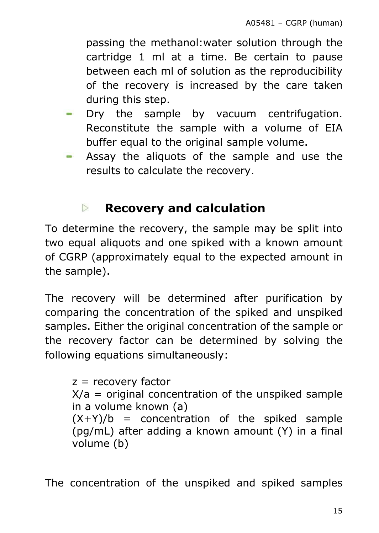passing the methanol:water solution through the cartridge 1 ml at a time. Be certain to pause between each ml of solution as the reproducibility of the recovery is increased by the care taken during this step.

- Dry the sample by vacuum centrifugation. Reconstitute the sample with a volume of EIA buffer equal to the original sample volume.
- Assay the aliquots of the sample and use the results to calculate the recovery.

#### **Recovery and calculation**  $\triangleright$

To determine the recovery, the sample may be split into two equal aliquots and one spiked with a known amount of CGRP (approximately equal to the expected amount in the sample).

The recovery will be determined after purification by comparing the concentration of the spiked and unspiked samples. Either the original concentration of the sample or the recovery factor can be determined by solving the following equations simultaneously:

 $z =$  recovery factor  $X/a$  = original concentration of the unspiked sample in a volume known (a)  $(X+Y)/b$  = concentration of the spiked sample (pg/mL) after adding a known amount (Y) in a final volume (b)

The concentration of the unspiked and spiked samples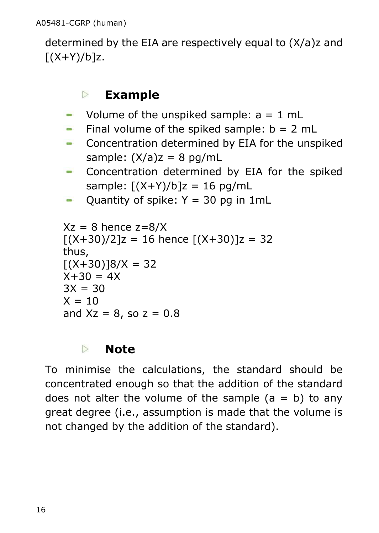determined by the EIA are respectively equal to (X/a)z and  $[(X+Y)/b]z.$ 

#### $\triangleright$ **Example**

- Volume of the unspiked sample:  $a = 1$  mL
- Final volume of the spiked sample:  $b = 2$  mL
- **-** Concentration determined by EIA for the unspiked sample:  $(X/a)z = 8$  pg/mL
- Concentration determined by EIA for the spiked sample:  $[(X+Y)/b]z = 16$  pg/mL
- Quantity of spike:  $Y = 30$  pg in 1mL **COL**

```
Xz = 8 hence z = 8/X[(X+30)/2]z = 16 hence [(X+30)]z = 32thus,
[(X+30)18/X = 32]X + 30 = 4X3X = 30X = 10and Xz = 8, so z = 0.8
```
#### $\triangleright$ **Note**

To minimise the calculations, the standard should be concentrated enough so that the addition of the standard does not alter the volume of the sample  $(a = b)$  to any great degree (i.e., assumption is made that the volume is not changed by the addition of the standard).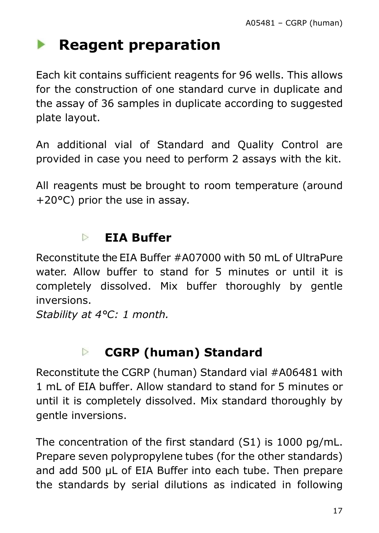#### <span id="page-16-0"></span> $\blacktriangleright$ **Reagent preparation**

Each kit contains sufficient reagents for 96 wells. This allows for the construction of one standard curve in duplicate and the assay of 36 samples in duplicate according to suggested plate layout.

An additional vial of Standard and Quality Control are provided in case you need to perform 2 assays with the kit.

All reagents must be brought to room temperature (around +20°C) prior the use in assay.

#### $\triangleright$ **EIA Buffer**

Reconstitute the EIA Buffer #A07000 with 50 mL of UltraPure water. Allow buffer to stand for 5 minutes or until it is completely dissolved. Mix buffer thoroughly by gentle inversions.

*Stability at 4°C: 1 month.*

#### **CGRP (human) Standard**  $\triangleright$

Reconstitute the CGRP (human) Standard vial #A06481 with 1 mL of EIA buffer. Allow standard to stand for 5 minutes or until it is completely dissolved. Mix standard thoroughly by gentle inversions.

The concentration of the first standard (S1) is 1000 pg/mL. Prepare seven polypropylene tubes (for the other standards) and add 500 µL of EIA Buffer into each tube. Then prepare the standards by serial dilutions as indicated in following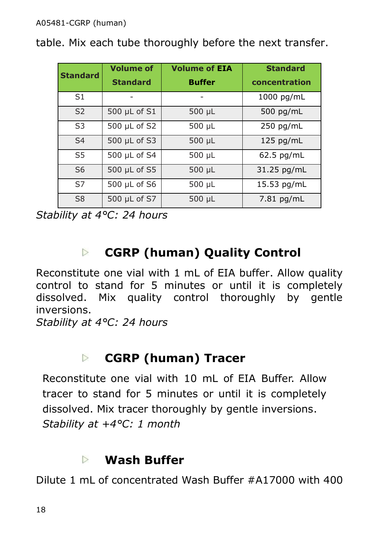table. Mix each tube thoroughly before the next transfer.

| <b>Standard</b> | <b>Volume of</b> | <b>Volume of EIA</b> | <b>Standard</b> |
|-----------------|------------------|----------------------|-----------------|
|                 | <b>Standard</b>  | <b>Buffer</b>        | concentration   |
| S <sub>1</sub>  |                  |                      | 1000 pg/mL      |
| S <sub>2</sub>  | 500 µL of S1     | 500 µL               | 500 pg/mL       |
| S <sub>3</sub>  | 500 µL of S2     | $500 \mu L$          | 250 pg/mL       |
| S <sub>4</sub>  | 500 µL of S3     | 500 µL               | 125 pg/mL       |
| S5              | 500 µL of S4     | 500 µL               | 62.5 pg/mL      |
| S <sub>6</sub>  | 500 µL of S5     | 500 µL               | 31.25 pg/mL     |
| S7              | 500 µL of S6     | $500 \mu L$          | 15.53 pg/mL     |
| S <sub>8</sub>  | 500 µL of S7     | 500 µL               | 7.81 pg/mL      |

*Stability at 4°C: 24 hours*

#### **CGRP (human) Quality Control**  $\triangleright$

Reconstitute one vial with 1 mL of EIA buffer. Allow quality control to stand for 5 minutes or until it is completely dissolved. Mix quality control thoroughly by gentle inversions.

*Stability at 4°C: 24 hours*

#### **CGRP (human) Tracer**  $\triangleright$

Reconstitute one vial with 10 mL of EIA Buffer. Allow tracer to stand for 5 minutes or until it is completely dissolved. Mix tracer thoroughly by gentle inversions. *Stability at +4°C: 1 month*

#### **Wash Buffer**  $\triangleright$

Dilute 1 mL of concentrated Wash Buffer #A17000 with 400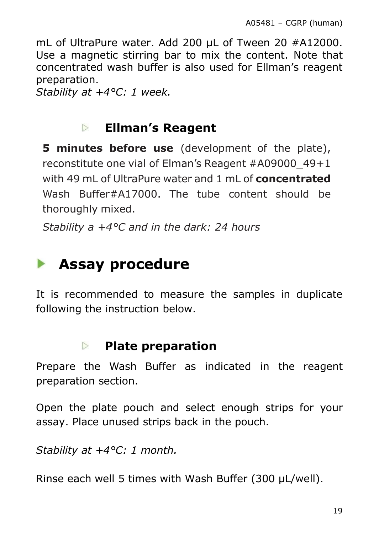mL of UltraPure water. Add 200 µL of Tween 20 #A12000. Use a magnetic stirring bar to mix the content. Note that concentrated wash buffer is also used for Ellman's reagent preparation.

*Stability at +4°C: 1 week.*

#### $\triangleright$ **Ellman's Reagent**

**5 minutes before use** (development of the plate), reconstitute one vial of Elman's Reagent #A09000\_49+1 with 49 mL of UltraPure water and 1 mL of **concentrated** Wash Buffer#A17000. The tube content should be thoroughly mixed.

<span id="page-18-0"></span>*Stability a +4°C and in the dark: 24 hours*

## **Assay procedure**

It is recommended to measure the samples in duplicate following the instruction below.

#### **Plate preparation**  $\triangleright$

Prepare the Wash Buffer as indicated in the reagent preparation section.

Open the plate pouch and select enough strips for your assay. Place unused strips back in the pouch.

*Stability at +4°C: 1 month.*

Rinse each well 5 times with Wash Buffer (300 μL/well).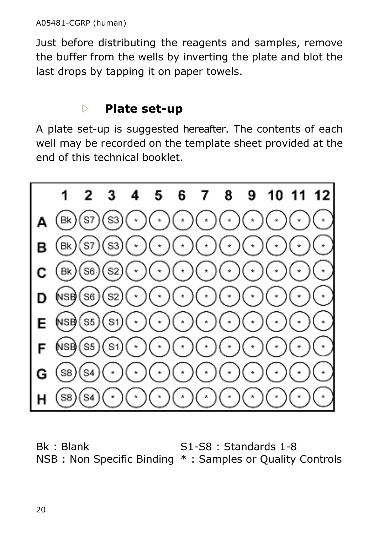Just before distributing the reagents and samples, remove the buffer from the wells by inverting the plate and blot the last drops by tapping it on paper towels.

#### $\triangleright$ **Plate set-up**

A plate set-up is suggested hereafter. The contents of each well may be recorded on the template sheet provided at the end of this technical booklet.



Bk : Blank NSB : Non Specific Binding \* : Samples or Quality ControlsS1-S8 : Standards 1-8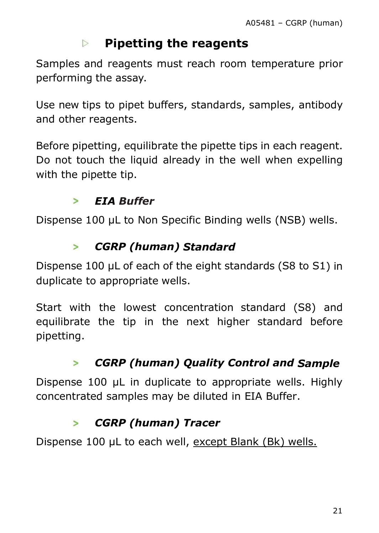#### $\triangleright$ **Pipetting the reagents**

Samples and reagents must reach room temperature prior performing the assay.

Use new tips to pipet buffers, standards, samples, antibody and other reagents.

Before pipetting, equilibrate the pipette tips in each reagent. Do not touch the liquid already in the well when expelling with the pipette tip.

#### *EIA Buffer*  $\overline{ }$

Dispense 100 µL to Non Specific Binding wells (NSB) wells.

#### $\geq$ *CGRP (human) Standard*

Dispense 100 µL of each of the eight standards (S8 to S1) in duplicate to appropriate wells.

Start with the lowest concentration standard (S8) and equilibrate the tip in the next higher standard before pipetting.

#### *CGRP (human) Quality Control and Sample*  $\geq$

Dispense 100 µL in duplicate to appropriate wells. Highly concentrated samples may be diluted in EIA Buffer.

#### *CGRP (human) Tracer*  $\geq$

Dispense 100 μL to each well, except Blank (Bk) wells.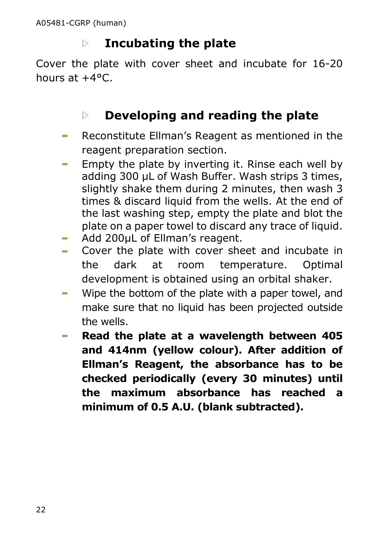#### $\triangleright$ **Incubating the plate**

Cover the plate with cover sheet and incubate for 16-20 hours at +4°C.

#### **Developing and reading the plate**  $\triangleright$

- Reconstitute Ellman's Reagent as mentioned in the reagent preparation section.
- Empty the plate by inverting it. Rinse each well by adding 300 µL of Wash Buffer. Wash strips 3 times, slightly shake them during 2 minutes, then wash 3 times & discard liquid from the wells. At the end of the last washing step, empty the plate and blot the plate on a paper towel to discard any trace of liquid.
- Add 200µL of Ellman's reagent.
- Cover the plate with cover sheet and incubate in the dark at room temperature. Optimal development is obtained using an orbital shaker.
- Wipe the bottom of the plate with a paper towel, and make sure that no liquid has been projected outside the wells.
- **Read the plate at a wavelength between 405 and 414nm (yellow colour). After addition of Ellman's Reagent, the absorbance has to be checked periodically (every 30 minutes) until the maximum absorbance has reached a minimum of 0.5 A.U. (blank subtracted).**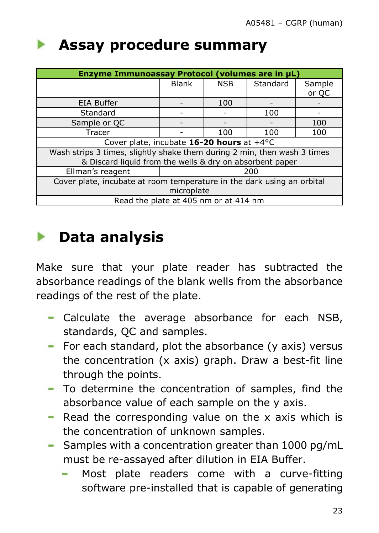## <span id="page-22-0"></span>**Assay procedure summary**

| Enzyme Immunoassay Protocol (volumes are in µL)                          |       |            |          |        |
|--------------------------------------------------------------------------|-------|------------|----------|--------|
|                                                                          | Blank | <b>NSB</b> | Standard | Sample |
|                                                                          |       |            |          | or QC  |
| <b>EIA Buffer</b>                                                        |       | 100        |          |        |
| Standard                                                                 |       |            | 100      |        |
| Sample or QC                                                             |       |            |          | 100    |
| Tracer                                                                   |       | 100        | 100      | 100    |
| Cover plate, incubate 16-20 hours at +4°C                                |       |            |          |        |
| Wash strips 3 times, slightly shake them during 2 min, then wash 3 times |       |            |          |        |
| & Discard liquid from the wells & dry on absorbent paper                 |       |            |          |        |
| Ellman's reagent                                                         | 200   |            |          |        |
| Cover plate, incubate at room temperature in the dark using an orbital   |       |            |          |        |
| microplate                                                               |       |            |          |        |
| Read the plate at 405 nm or at 414 nm                                    |       |            |          |        |

## <span id="page-22-1"></span>**Data analysis**

Make sure that your plate reader has subtracted the absorbance readings of the blank wells from the absorbance readings of the rest of the plate.

- Calculate the average absorbance for each NSB, standards, QC and samples.
- For each standard, plot the absorbance (y axis) versus the concentration (x axis) graph. Draw a best-fit line through the points.
- To determine the concentration of samples, find the absorbance value of each sample on the y axis.
- Read the corresponding value on the x axis which is the concentration of unknown samples.
- Samples with a concentration greater than  $1000$  pg/mL must be re-assayed after dilution in EIA Buffer.
	- Most plate readers come with a curve-fitting software pre-installed that is capable of generating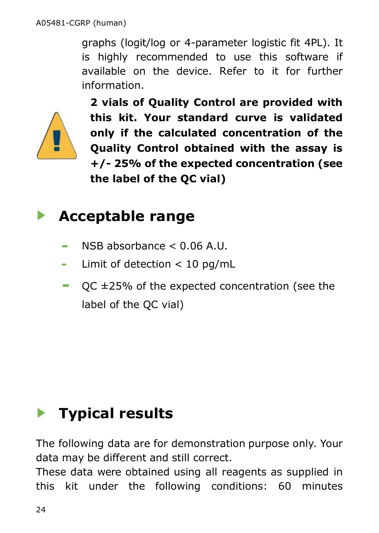graphs (logit/log or 4-parameter logistic fit 4PL). It is highly recommended to use this software if available on the device. Refer to it for further information.



**2 vials of Quality Control are provided with this kit. Your standard curve is validated only if the calculated concentration of the Quality Control obtained with the assay is +/- 25% of the expected concentration (see the label of the QC vial)**

## <span id="page-23-0"></span>**Acceptable range**

- NSB absorbance < 0.06 A.U.
- Limit of detection < 10 pg/mL  $\frac{1}{2}$
- QC ±25% of the expected concentration (see the **COLLEGE** label of the QC vial)

# <span id="page-23-1"></span>**Typical results**

The following data are for demonstration purpose only. Your data may be different and still correct.

These data were obtained using all reagents as supplied in this kit under the following conditions: 60 minutes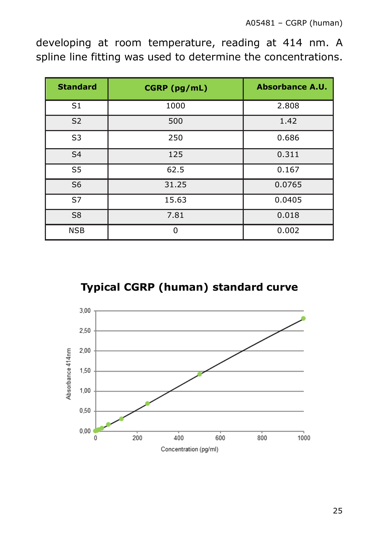developing at room temperature, reading at 414 nm. A spline line fitting was used to determine the concentrations.

| <b>Standard</b> | CGRP (pg/mL) | <b>Absorbance A.U.</b> |
|-----------------|--------------|------------------------|
| S <sub>1</sub>  | 1000         | 2.808                  |
| S <sub>2</sub>  | 500          | 1.42                   |
| S3              | 250          | 0.686                  |
| S <sub>4</sub>  | 125          | 0.311                  |
| S5              | 62.5         | 0.167                  |
| S <sub>6</sub>  | 31.25        | 0.0765                 |
| S7              | 15.63        | 0.0405                 |
| S8              | 7.81         | 0.018                  |
| <b>NSB</b>      | U            | 0.002                  |

**Typical CGRP (human) standard curve**

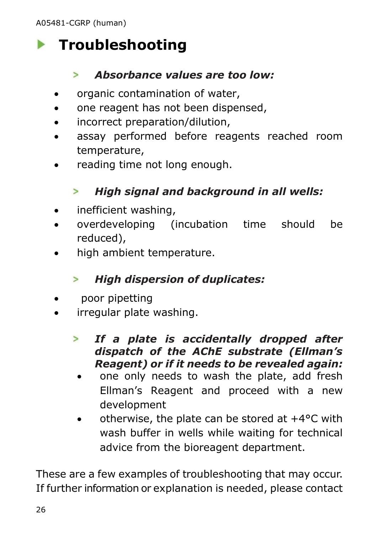# <span id="page-25-0"></span>**Figure** Troubleshooting

#### $\geq$ *Absorbance values are too low:*

- organic contamination of water,
- one reagent has not been dispensed,
- incorrect preparation/dilution,
- assay performed before reagents reached room temperature,
- reading time not long enough.

#### *High signal and background in all wells:*  $\geq$

- inefficient washing,
- overdeveloping (incubation time should be reduced),
- high ambient temperature.

#### *High dispersion of duplicates:*  $\geq$

- poor pipetting
- irregular plate washing.
	- *If a plate is accidentally dropped after*   $\geq$ *dispatch of the AChE substrate (Ellman's Reagent) or if it needs to be revealed again:*
	- one only needs to wash the plate, add fresh Ellman's Reagent and proceed with a new development
	- $\bullet$  otherwise, the plate can be stored at  $+4^{\circ}$ C with wash buffer in wells while waiting for technical advice from the bioreagent department.

These are a few examples of troubleshooting that may occur. If further information or explanation is needed, please contact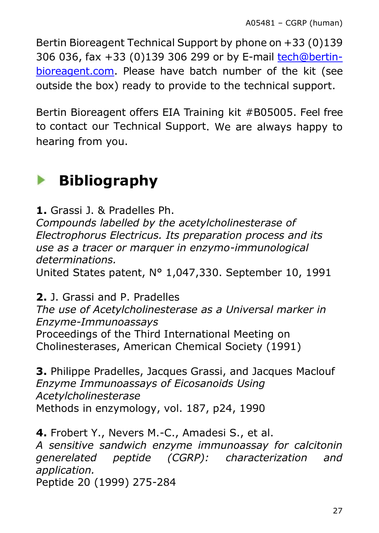Bertin Bioreagent Technical Support by phone on +33 (0)139 306 036, fax +33 (0)139 306 299 or by E-mail [tech@bertin](mailto:tech@bertin-bioreagent.com)[bioreagent.com.](mailto:tech@bertin-bioreagent.com) Please have batch number of the kit (see outside the box) ready to provide to the technical support.

Bertin Bioreagent offers EIA Training kit #B05005. Feel free to contact our Technical Support. We are always happy to hearing from you.

#### <span id="page-26-0"></span>**Bibliography**  $\blacktriangleright$

**1.** Grassi J. & Pradelles Ph.

*Compounds labelled by the acetylcholinesterase of Electrophorus Electricus. Its preparation process and its use as a tracer or marquer in enzymo-immunological determinations.*

United States patent, N° 1,047,330. September 10, 1991

**2.** J. Grassi and P. Pradelles

*The use of Acetylcholinesterase as a Universal marker in Enzyme-Immunoassays* Proceedings of the Third International Meeting on Cholinesterases, American Chemical Society (1991)

**3.** Philippe Pradelles, Jacques Grassi, and Jacques Maclouf *Enzyme Immunoassays of Eicosanoids Using Acetylcholinesterase* Methods in enzymology, vol. 187, p24, 1990

**4.** Frobert Y., Nevers M.-C., Amadesi S., et al. *A sensitive sandwich enzyme immunoassay for calcitonin generelated peptide (CGRP): characterization and application.* Peptide 20 (1999) 275-284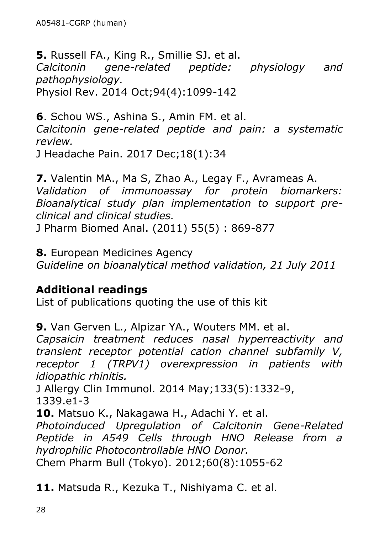**5.** Russell FA., King R., Smillie SJ. et al. *Calcitonin gene-related peptide: physiology and pathophysiology.* Physiol Rev. 2014 Oct;94(4):1099-142

**6**. Schou WS., Ashina S., Amin FM. et al. *Calcitonin gene-related peptide and pain: a systematic review.*

J Headache Pain. 2017 Dec;18(1):34

**7.** Valentin MA., Ma S, Zhao A., Legay F., Avrameas A. *Validation of immunoassay for protein biomarkers: Bioanalytical study plan implementation to support preclinical and clinical studies.*

J Pharm Biomed Anal. (2011) 55(5) : 869-877

**8.** European Medicines Agency *Guideline on bioanalytical method validation, 21 July 2011*

### **Additional readings**

List of publications quoting the use of this kit

**9.** Van Gerven L., Alpizar YA., Wouters MM. et al.

*Capsaicin treatment reduces nasal hyperreactivity and transient receptor potential cation channel subfamily V, receptor 1 (TRPV1) overexpression in patients with idiopathic rhinitis.*

J Allergy Clin Immunol. 2014 May;133(5):1332-9, 1339.e1-3

**10.** Matsuo K., Nakagawa H., Adachi Y. et al.

*Photoinduced Upregulation of Calcitonin Gene-Related Peptide in A549 Cells through HNO Release from a hydrophilic Photocontrollable HNO Donor.*

Chem Pharm Bull (Tokyo). 2012;60(8):1055-62

**11.** Matsuda R., Kezuka T., Nishiyama C. et al.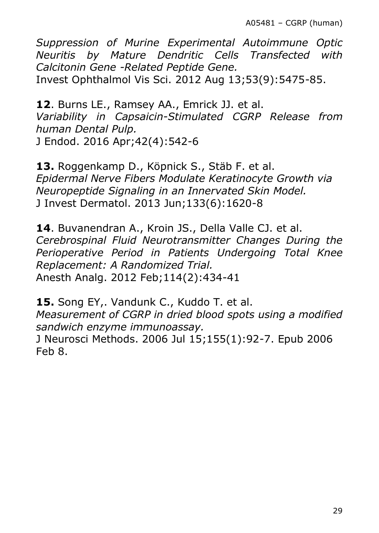*Suppression of Murine Experimental Autoimmune Optic Neuritis by Mature Dendritic Cells Transfected with Calcitonin Gene -Related Peptide Gene.*

Invest Ophthalmol Vis Sci. 2012 Aug 13;53(9):5475-85.

**12**. Burns LE., Ramsey AA., Emrick JJ. et al. *Variability in Capsaicin-Stimulated CGRP Release from human Dental Pulp.* J Endod. 2016 Apr;42(4):542-6

**13.** Roggenkamp D., Köpnick S., Stäb F. et al. *Epidermal Nerve Fibers Modulate Keratinocyte Growth via Neuropeptide Signaling in an Innervated Skin Model.* J Invest Dermatol. 2013 Jun;133(6):1620-8

**14**. Buvanendran A., Kroin JS., Della Valle CJ. et al. *Cerebrospinal Fluid Neurotransmitter Changes During the Perioperative Period in Patients Undergoing Total Knee Replacement: A Randomized Trial.* Anesth Analg. 2012 Feb;114(2):434-41

**15.** Song EY,. Vandunk C., Kuddo T. et al. *Measurement of CGRP in dried blood spots using a modified sandwich enzyme immunoassay.*

J Neurosci Methods. 2006 Jul 15;155(1):92-7. Epub 2006 Feb 8.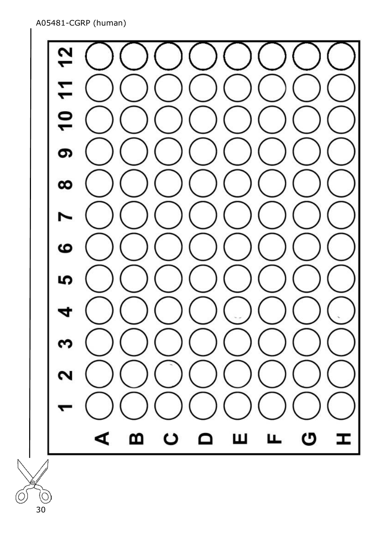A05481-CGRP (human)

C  $\mathbf{r}$  $\mathbf{S}$ ၜ  $\infty$ ဖ မာ ₹ ς  $\mathbf{\Omega}$ m ပ  $\Omega$ Ш щ ပ H ⋖

(C 30

šl Ó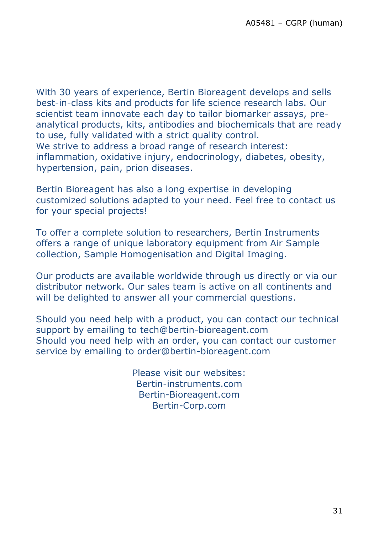With 30 years of experience, Bertin Bioreagent develops and sells best-in-class kits and products for life science research labs. Our scientist team innovate each day to tailor biomarker assays, preanalytical products, kits, antibodies and biochemicals that are ready to use, fully validated with a strict quality control. We strive to address a broad range of research interest: inflammation, oxidative injury, endocrinology, diabetes, obesity, hypertension, pain, prion diseases.

Bertin Bioreagent has also a long expertise in developing customized solutions adapted to your need. Feel free to contact us for your special projects!

To offer a complete solution to researchers, Bertin Instruments offers a range of unique laboratory equipment from Air Sample collection, Sample Homogenisation and Digital Imaging.

Our products are available worldwide through us directly or via our distributor network. Our sales team is active on all continents and will be delighted to answer all your commercial questions.

Should you need help with a product, you can contact our technical support by emailing to tech@bertin-bioreagent.com Should you need help with an order, you can contact our customer service by emailing to order@bertin-bioreagent.com

> Please visit our websites: Bertin-instruments.com Bertin-Bioreagent.com Bertin-Corp.com